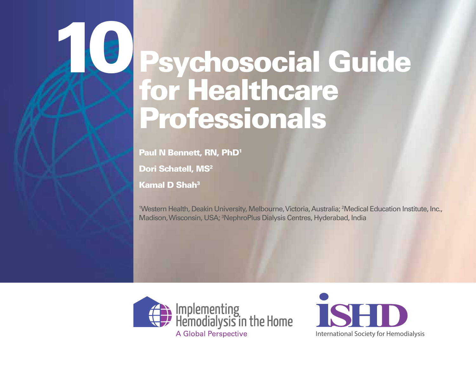Paul N Bennett, RN, PhD<sup>1</sup>

Dori Schatell, MS<sup>2</sup>

Kamal D Shah3

10

1 Western Health, Deakin University, Melbourne, Victoria, Australia; 2 Medical Education Institute, Inc., Madison, Wisconsin, USA; 3 NephroPlus Dialysis Centres, Hyderabad, India



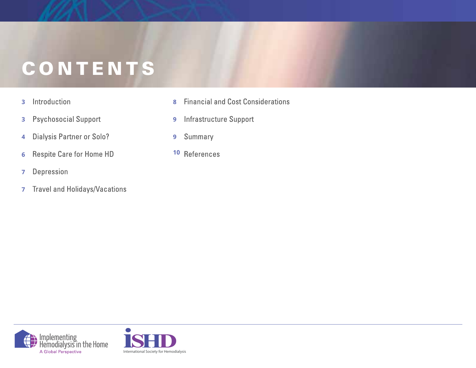# **CONTENTS**

Psychology (Control Control Control Control Control Control Control Control Control Control Control Control Co

Introduction **3**

2

- **Psychosocial Support 3**
- Dialysis Partner or Solo? **4**
- **Respite Care for Home HD 6**
- Depression **7**
- **7** Travel and Holidays/Vacations
- **Financial and Cost Considerations 8**
- **9** Infrastructure Support
- Summary **9**
- **10**



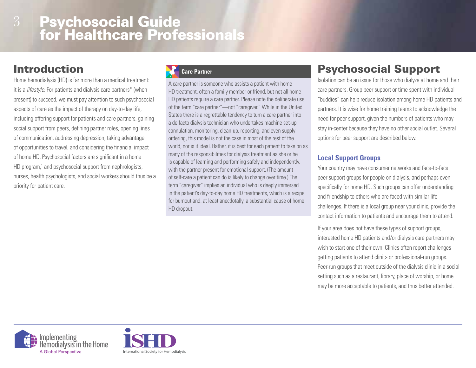# Introduction

Home hemodialysis (HD) is far more than a medical treatment: it is a *lifestyle*. For patients and dialysis care partners\* (when present) to succeed, we must pay attention to such psychosocial aspects of care as the impact of therapy on day-to-day life, including offering support for patients and care partners, gaining social support from peers, defining partner roles, opening lines of communication, addressing depression, taking advantage of opportunities to travel, and considering the financial impact of home HD. Psychosocial factors are significant in a home HD program,<sup>1</sup> and psychosocial support from nephrologists, nurses, health psychologists, and social workers should thus be a priority for patient care.

#### **Care Partner**

A care partner is someone who assists a patient with home HD treatment, often a family member or friend, but not all home HD patients require a care partner. Please note the deliberate use of the term "care partner"—not "caregiver." While in the United States there is a regrettable tendency to turn a care partner into a de facto dialysis technician who undertakes machine set-up, cannulation, monitoring, clean-up, reporting, and even supply ordering, this model is not the case in most of the rest of the world, nor is it ideal. Rather, it is best for each patient to take on as many of the responsibilities for dialysis treatment as she or he is capable of learning and performing safely and independently, with the partner present for emotional support. (The amount of self-care a patient can do is likely to change over time.) The term "caregiver" implies an individual who is deeply immersed in the patient's day-to-day home HD treatments, which is a recipe for burnout and, at least anecdotally, a substantial cause of home HD dropout.

# Psychosocial Support

Isolation can be an issue for those who dialyze at home and their care partners. Group peer support or time spent with individual "buddies" can help reduce isolation among home HD patients and partners. It is wise for home training teams to acknowledge the need for peer support, given the numbers of patients who may stay in-center because they have no other social outlet. Several options for peer support are described below.

#### **Local Support Groups**

Your country may have consumer networks and face-to-face peer support groups for people on dialysis, and perhaps even specifically for home HD. Such groups can offer understanding and friendship to others who are faced with similar life challenges. If there is a local group near your clinic, provide the contact information to patients and encourage them to attend.

If your area does not have these types of support groups, interested home HD patients and/or dialysis care partners may wish to start one of their own. Clinics often report challenges getting patients to attend clinic- or professional-run groups. Peer-run groups that meet outside of the dialysis clinic in a social setting such as a restaurant, library, place of worship, or home may be more acceptable to patients, and thus better attended.



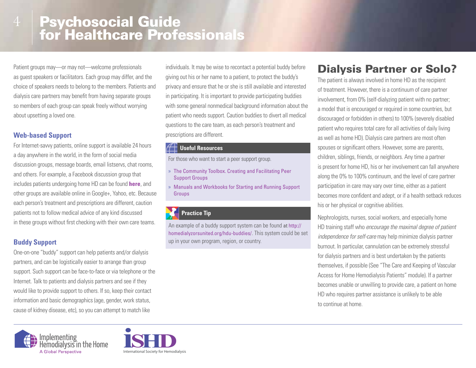Patient groups may—or may not—welcome professionals as guest speakers or facilitators. Each group may differ, and the choice of speakers needs to belong to the members. Patients and dialysis care partners may benefit from having separate groups so members of each group can speak freely without worrying about upsetting a loved one.

#### **Web-based Support**

For Internet-savvy patients, online support is available 24 hours a day anywhere in the world, in the form of social media discussion groups, message boards, email listservs, chat rooms, and others. For example, a Facebook discussion group that includes patients undergoing home HD can be found **here**, and other groups are available online in Google+, Yahoo, etc. Because each person's treatment and prescriptions are different, caution patients not to follow medical advice of any kind discussed in these groups without first checking with their own care teams.

#### **Buddy Support**

One-on-one "buddy" support can help patients and/or dialysis partners, and can be logistically easier to arrange than group support. Such support can be face-to-face or via telephone or the Internet. Talk to patients and dialysis partners and see if they would like to provide support to others. If so, keep their contact information and basic demographics (age, gender, work status, cause of kidney disease, etc), so you can attempt to match like

individuals. It may be wise to recontact a potential buddy before giving out his or her name to a patient, to protect the buddy's privacy and ensure that he or she is still available and interested in participating. It is important to provide participating buddies with some general nonmedical background information about the patient who needs support. Caution buddies to divert all medical questions to the care team, as each person's treatment and prescriptions are different.

#### **Useful Resources**

For those who want to start a peer support group.

- » The Community Toolbox. Creating and Facilitating Peer Support Groups
- » Manuals and Workbooks for Starting and Running Support Groups

#### **Practice Tip**

An example of a buddy support system can be found at http:// homedialyzorsunited.org/hdu-buddies/. This system could be set up in your own program, region, or country.

### Dialysis Partner or Solo?

The patient is always involved in home HD as the recipient of treatment. However, there is a continuum of care partner involvement, from 0% (self-dialyzing patient with no partner; a model that is encouraged or required in some countries, but discouraged or forbidden in others) to 100% (severely disabled patient who requires total care for all activities of daily living as well as home HD). Dialysis care partners are most often spouses or significant others. However, some are parents, children, siblings, friends, or neighbors. Any time a partner is present for home HD, his or her involvement can fall anywhere along the 0% to 100% continuum, and the level of care partner participation in care may vary over time, either as a patient becomes more confident and adept, or if a health setback reduces his or her physical or cognitive abilities.

Nephrologists, nurses, social workers, and especially home HD training staff who *encourage the maximal degree of patient independence for self-care* may help minimize dialysis partner burnout. In particular, cannulation can be extremely stressful for dialysis partners and is best undertaken by the patients themselves, if possible (See "The Care and Keeping of Vascular Access for Home Hemodialysis Patients" module). If a partner becomes unable or unwilling to provide care, a patient on home HD who requires partner assistance is unlikely to be able to continue at home.



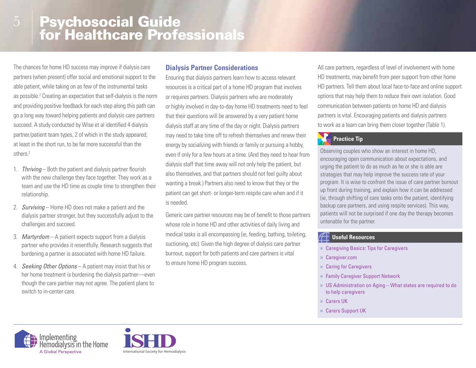The chances for home HD success may improve if dialysis care partners (when present) offer social and emotional support to the able patient, while taking on as few of the instrumental tasks as possible.<sup>2</sup> Creating an expectation that self-dialysis is the norm and providing positive feedback for each step along this path can go a long way toward helping patients and dialysis care partners succeed. A study conducted by Wise et al identified 4 dialysis partner/patient team types, 2 of which in the study appeared, at least in the short run, to be far more successful than the others.2

5

- 1. *Thriving* Both the patient and dialysis partner flourish with the new challenge they face together. They work as a team and use the HD time as couple time to strengthen their relationship.
- 2. *Surviving* Home HD does not make a patient and the dialysis partner stronger, but they successfully adjust to the challenges and succeed.
- 3. *Martyrdom* A patient expects support from a dialysis partner who provides it resentfully. Research suggests that burdening a partner is associated with home HD failure.
- 4. *Seeking Other Options* A patient may insist that his or her home treatment is burdening the dialysis partner—even though the care partner may not agree. The patient plans to switch to in-center care.

#### **Dialysis Partner Considerations**

Ensuring that dialysis partners learn how to access relevant resources is a critical part of a home HD program that involves or requires partners. Dialysis partners who are moderately or highly involved in day-to-day home HD treatments need to feel that their questions will be answered by a very patient home dialysis staff at any time of the day or night. Dialysis partners may need to take time off to refresh themselves and renew their energy by socializing with friends or family or pursuing a hobby, even if only for a few hours at a time. (And they need to hear from dialysis staff that time away will not only help the patient, but also themselves, and that partners should not feel guilty about wanting a break.) Partners also need to know that they or the patient can get short- or longer-term respite care when and if it is needed.

Generic care partner resources may be of benefit to those partners whose role in home HD and other activities of daily living and medical tasks is all encompassing (ie, feeding, bathing, toileting, suctioning, etc). Given the high degree of dialysis care partner burnout, support for both patients and care partners is vital to ensure home HD program success.

All care partners, regardless of level of involvement with home HD treatments, may benefit from peer support from other home HD partners. Tell them about local face-to-face and online support options that may help them to reduce their own isolation. Good communication between patients on home HD and dialysis partners is vital. Encouraging patients and dialysis partners to work as a team can bring them closer together (Table 1).

#### **Practice Tip**

Observing couples who show an interest in home HD, encouraging open communication about expectations, and urging the patient to do as much as he or she is able are strategies that may help improve the success rate of your program. It is wise to confront the issue of care partner burnout up front during training, and explain how it can be addressed (ie, through shifting of care tasks onto the patient, identifying backup care partners, and using respite services). This way, patients will not be surprised if one day the therapy becomes untenable for the partner.

#### **Useful Resources**

- » Caregiving Basics: Tips for Caregivers
- » Caregiver.com
- » Caring for Caregivers
- » Family Caregiver Support Network
- » US Administration on Aging What states are required to do to help caregivers
- » Carers UK
- » Carers Support UK



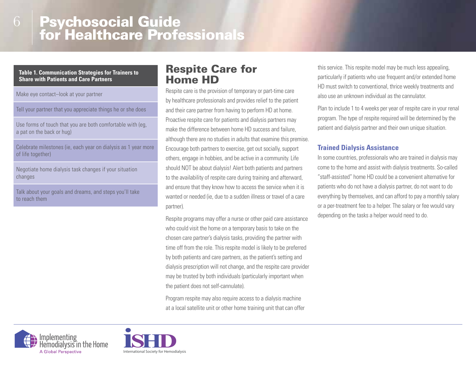#### **Table 1. Communication Strategies for Trainers to Share with Patients and Care Partners**

Make eye contact–look at your partner

Tell your partner that you appreciate things he or she does

Use forms of touch that you are both comfortable with (eg, a pat on the back or hug)

Celebrate milestones (ie, each year on dialysis as 1 year more of life together)

Negotiate home dialysis task changes if your situation changes

Talk about your goals and dreams, and steps you'll take to reach them

### Respite Care for Home HD

Respite care is the provision of temporary or part-time care by healthcare professionals and provides relief to the patient and their care partner from having to perform HD at home. Proactive respite care for patients and dialysis partners may make the difference between home HD success and failure, although there are no studies in adults that examine this premise. Encourage both partners to exercise, get out socially, support others, engage in hobbies, and be active in a community. Life should NOT be about dialysis! Alert both patients and partners to the availability of respite care during training and afterward, and ensure that they know how to access the service when it is wanted or needed (ie, due to a sudden illness or travel of a care partner).

Respite programs may offer a nurse or other paid care assistance who could visit the home on a temporary basis to take on the chosen care partner's dialysis tasks, providing the partner with time off from the role. This respite model is likely to be preferred by both patients and care partners, as the patient's setting and dialysis prescription will not change, and the respite care provider may be trusted by both individuals (particularly important when the patient does not self-cannulate).

Program respite may also require access to a dialysis machine at a local satellite unit or other home training unit that can offer this service. This respite model may be much less appealing, particularly if patients who use frequent and/or extended home HD must switch to conventional, thrice weekly treatments and also use an unknown individual as the cannulator.

Plan to include 1 to 4 weeks per year of respite care in your renal program. The type of respite required will be determined by the patient and dialysis partner and their own unique situation.

#### **Trained Dialysis Assistance**

In some countries, professionals who are trained in dialysis may come to the home and assist with dialysis treatments. So-called "staff-assisted" home HD could be a convenient alternative for patients who do not have a dialysis partner, do not want to do everything by themselves, and can afford to pay a monthly salary or a per-treatment fee to a helper. The salary or fee would vary depending on the tasks a helper would need to do.



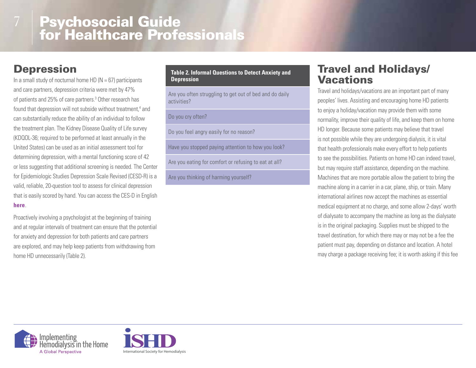# Depression

In a small study of nocturnal home HD ( $N = 67$ ) participants and care partners, depression criteria were met by 47% of patients and 25% of care partners.<sup>3</sup> Other research has found that depression will not subside without treatment,<sup>4</sup> and can substantially reduce the ability of an individual to follow the treatment plan. The Kidney Disease Quality of Life survey (KDQOL-36; required to be performed at least annually in the United States) can be used as an initial assessment tool for determining depression, with a mental functioning score of 42 or less suggesting that additional screening is needed. The Center for Epidemiologic Studies Depression Scale Revised (CESD-R) is a valid, reliable, 20-question tool to assess for clinical depression that is easily scored by hand. You can access the CES-D in English **here**.

Proactively involving a psychologist at the beginning of training and at regular intervals of treatment can ensure that the potential for anxiety and depression for both patients and care partners are explored, and may help keep patients from withdrawing from home HD unnecessarily (Table 2).

#### **Table 2. Informal Questions to Detect Anxiety and Depression**

Are you often struggling to get out of bed and do daily activities?

#### Do you cry often?

Do you feel angry easily for no reason?

Have you stopped paying attention to how you look?

Are you eating for comfort or refusing to eat at all?

Are you thinking of harming yourself?

### Travel and Holidays/ Vacations

Travel and holidays/vacations are an important part of many peoples' lives. Assisting and encouraging home HD patients to enjoy a holiday/vacation may provide them with some normality, improve their quality of life, and keep them on home HD longer. Because some patients may believe that travel is not possible while they are undergoing dialysis, it is vital that health professionals make every effort to help patients to see the possibilities. Patients on home HD can indeed travel, but may require staff assistance, depending on the machine. Machines that are more portable allow the patient to bring the machine along in a carrier in a car, plane, ship, or train. Many international airlines now accept the machines as essential medical equipment at no charge, and some allow 2-days' worth of dialysate to accompany the machine as long as the dialysate is in the original packaging. Supplies must be shipped to the travel destination, for which there may or may not be a fee the patient must pay, depending on distance and location. A hotel may charge a package receiving fee; it is worth asking if this fee



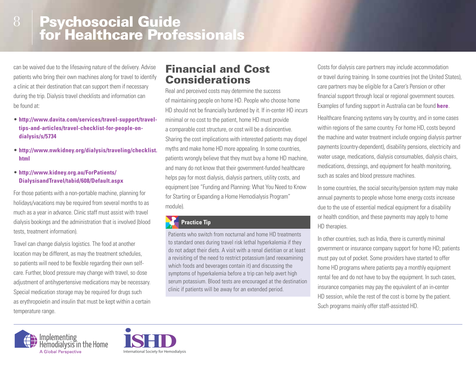can be waived due to the lifesaving nature of the delivery. Advise patients who bring their own machines along for travel to identify a clinic at their destination that can support them if necessary during the trip. Dialysis travel checklists and information can be found at:

- **http://www.davita.com/services/travel-support/traveltips-and-articles/travel-checklist-for-people-ondialysis/s/5734**
- **http://www.nwkidney.org/dialysis/traveling/checklist. html**

#### • **http://www.kidney.org.au/ForPatients/ DialysisandTravel/tabid/608/Default.aspx**

For those patients with a non-portable machine, planning for holidays/vacations may be required from several months to as much as a year in advance. Clinic staff must assist with travel dialysis bookings and the administration that is involved (blood tests, treatment information).

Travel can change dialysis logistics. The food at another location may be different, as may the treatment schedules, so patients will need to be flexible regarding their own selfcare. Further, blood pressure may change with travel, so dose adjustment of antihypertensive medications may be necessary. Special medication storage may be required for drugs such as erythropoietin and insulin that must be kept within a certain temperature range.

### Financial and Cost **Considerations**

Real and perceived costs may determine the success of maintaining people on home HD. People who choose home HD should not be financially burdened by it. If in-center HD incurs minimal or no cost to the patient, home HD must provide a comparable cost structure, or cost will be a disincentive. Sharing the cost implications with interested patients may dispel myths and make home HD more appealing. In some countries, patients wrongly believe that they must buy a home HD machine, and many do not know that their government-funded healthcare helps pay for most dialysis, dialysis partners, utility costs, and equipment (see "Funding and Planning: What You Need to Know for Starting or Expanding a Home Hemodialysis Program" module).

#### **Practice Tip**

Patients who switch from nocturnal and home HD treatments to standard ones during travel risk lethal hyperkalemia if they do not adapt their diets. A visit with a renal dietitian or at least a revisiting of the need to restrict potassium (and reexamining which foods and beverages contain it) and discussing the symptoms of hyperkalemia before a trip can help avert high serum potassium. Blood tests are encouraged at the destination clinic if patients will be away for an extended period.

Costs for dialysis care partners may include accommodation or travel during training. In some countries (not the United States), care partners may be eligible for a Carer's Pension or other financial support through local or regional government sources. Examples of funding support in Australia can be found **here**.

Healthcare financing systems vary by country, and in some cases within regions of the same country. For home HD, costs beyond the machine and water treatment include ongoing dialysis partner payments (country-dependent), disability pensions, electricity and water usage, medications, dialysis consumables, dialysis chairs, medications, dressings, and equipment for health monitoring, such as scales and blood pressure machines.

In some countries, the social security/pension system may make annual payments to people whose home energy costs increase due to the use of essential medical equipment for a disability or health condition, and these payments may apply to home HD therapies.

In other countries, such as India, there is currently minimal government or insurance company support for home HD; patients must pay out of pocket. Some providers have started to offer home HD programs where patients pay a monthly equipment rental fee and do not have to buy the equipment. In such cases, insurance companies may pay the equivalent of an in-center HD session, while the rest of the cost is borne by the patient. Such programs mainly offer staff-assisted HD.



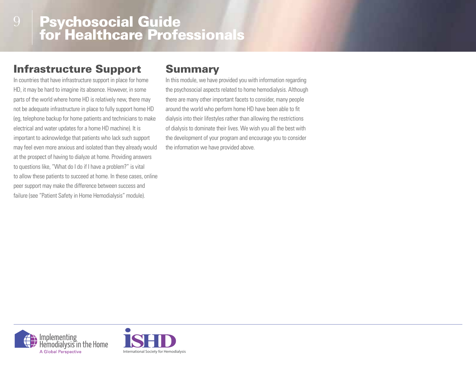## Infrastructure Support

In countries that have infrastructure support in place for home HD, it may be hard to imagine its absence. However, in some parts of the world where home HD is relatively new, there may not be adequate infrastructure in place to fully support home HD (eg, telephone backup for home patients and technicians to make electrical and water updates for a home HD machine). It is important to acknowledge that patients who lack such support may feel even more anxious and isolated than they already would at the prospect of having to dialyze at home. Providing answers to questions like, "What do I do if I have a problem?" is vital to allow these patients to succeed at home. In these cases, online peer support may make the difference between success and failure (see "Patient Safety in Home Hemodialysis" module).

### Summary

In this module, we have provided you with information regarding the psychosocial aspects related to home hemodialysis. Although there are many other important facets to consider, many people around the world who perform home HD have been able to fit dialysis into their lifestyles rather than allowing the restrictions of dialysis to dominate their lives. We wish you all the best with the development of your program and encourage you to consider the information we have provided above.